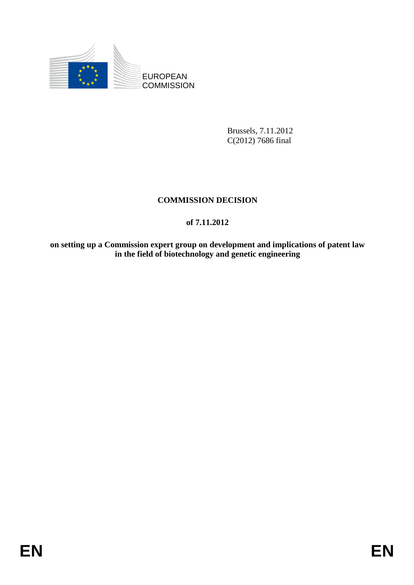

Brussels, 7.11.2012 C(2012) 7686 final

# **COMMISSION DECISION**

# **of 7.11.2012**

**on setting up a Commission expert group on development and implications of patent law in the field of biotechnology and genetic engineering**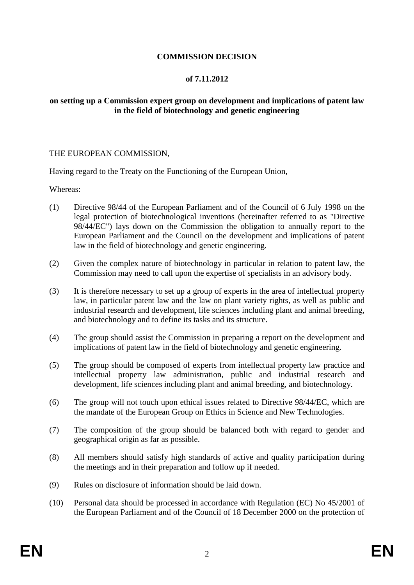## **COMMISSION DECISION**

#### **of 7.11.2012**

### **on setting up a Commission expert group on development and implications of patent law in the field of biotechnology and genetic engineering**

#### THE EUROPEAN COMMISSION,

Having regard to the Treaty on the Functioning of the European Union,

Whereas:

- (1) Directive 98/44 of the European Parliament and of the Council of 6 July 1998 on the legal protection of biotechnological inventions (hereinafter referred to as "Directive 98/44/EC") lays down on the Commission the obligation to annually report to the European Parliament and the Council on the development and implications of patent law in the field of biotechnology and genetic engineering.
- (2) Given the complex nature of biotechnology in particular in relation to patent law, the Commission may need to call upon the expertise of specialists in an advisory body.
- (3) It is therefore necessary to set up a group of experts in the area of intellectual property law, in particular patent law and the law on plant variety rights, as well as public and industrial research and development, life sciences including plant and animal breeding, and biotechnology and to define its tasks and its structure.
- (4) The group should assist the Commission in preparing a report on the development and implications of patent law in the field of biotechnology and genetic engineering.
- (5) The group should be composed of experts from intellectual property law practice and intellectual property law administration, public and industrial research and development, life sciences including plant and animal breeding, and biotechnology.
- (6) The group will not touch upon ethical issues related to Directive 98/44/EC, which are the mandate of the European Group on Ethics in Science and New Technologies.
- (7) The composition of the group should be balanced both with regard to gender and geographical origin as far as possible.
- (8) All members should satisfy high standards of active and quality participation during the meetings and in their preparation and follow up if needed.
- (9) Rules on disclosure of information should be laid down.
- (10) Personal data should be processed in accordance with Regulation (EC) No 45/2001 of the European Parliament and of the Council of 18 December 2000 on the protection of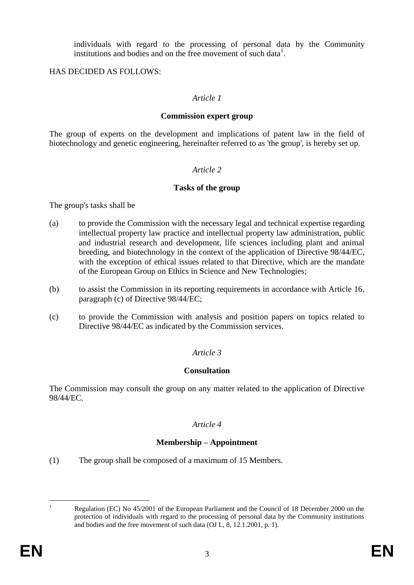individuals with regard to the processing of personal data by the Community institutions and bodies and on the free movement of such data<sup>1</sup>.

### HAS DECIDED AS FOLLOWS:

### *Article 1*

#### **Commission expert group**

The group of experts on the development and implications of patent law in the field of biotechnology and genetic engineering, hereinafter referred to as 'the group', is hereby set up.

#### *Article 2*

### **Tasks of the group**

The group's tasks shall be

- (a) to provide the Commission with the necessary legal and technical expertise regarding intellectual property law practice and intellectual property law administration, public and industrial research and development, life sciences including plant and animal breeding, and biotechnology in the context of the application of Directive 98/44/EC, with the exception of ethical issues related to that Directive, which are the mandate of the European Group on Ethics in Science and New Technologies;
- (b) to assist the Commission in its reporting requirements in accordance with Article 16, paragraph (c) of Directive 98/44/EC;
- (c) to provide the Commission with analysis and position papers on topics related to Directive 98/44/EC as indicated by the Commission services.

## *Article 3*

#### **Consultation**

The Commission may consult the group on any matter related to the application of Directive 98/44/EC.

## *Article 4*

## **Membership – Appointment**

(1) The group shall be composed of a maximum of 15 Members.

 $\mathbf{1}$ 

Regulation (EC) No 45/2001 of the European Parliament and the Council of 18 December 2000 on the protection of individuals with regard to the processing of personal data by the Community institutions and bodies and the free movement of such data (OJ L, 8, 12.1.2001, p. 1).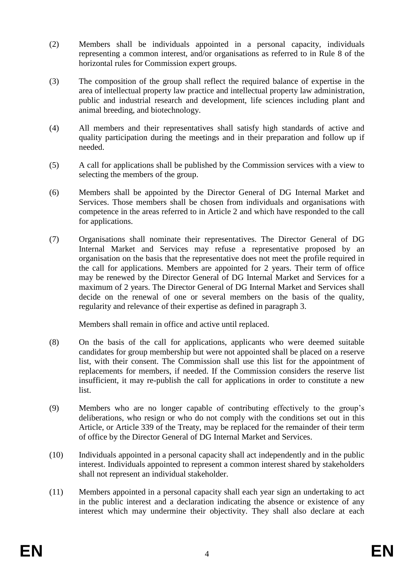- (2) Members shall be individuals appointed in a personal capacity, individuals representing a common interest, and/or organisations as referred to in Rule 8 of the horizontal rules for Commission expert groups.
- (3) The composition of the group shall reflect the required balance of expertise in the area of intellectual property law practice and intellectual property law administration, public and industrial research and development, life sciences including plant and animal breeding, and biotechnology.
- (4) All members and their representatives shall satisfy high standards of active and quality participation during the meetings and in their preparation and follow up if needed.
- (5) A call for applications shall be published by the Commission services with a view to selecting the members of the group.
- (6) Members shall be appointed by the Director General of DG Internal Market and Services. Those members shall be chosen from individuals and organisations with competence in the areas referred to in Article 2 and which have responded to the call for applications.
- (7) Organisations shall nominate their representatives. The Director General of DG Internal Market and Services may refuse a representative proposed by an organisation on the basis that the representative does not meet the profile required in the call for applications. Members are appointed for 2 years. Their term of office may be renewed by the Director General of DG Internal Market and Services for a maximum of 2 years. The Director General of DG Internal Market and Services shall decide on the renewal of one or several members on the basis of the quality, regularity and relevance of their expertise as defined in paragraph 3.

Members shall remain in office and active until replaced.

- (8) On the basis of the call for applications, applicants who were deemed suitable candidates for group membership but were not appointed shall be placed on a reserve list, with their consent. The Commission shall use this list for the appointment of replacements for members, if needed. If the Commission considers the reserve list insufficient, it may re-publish the call for applications in order to constitute a new list.
- (9) Members who are no longer capable of contributing effectively to the group's deliberations, who resign or who do not comply with the conditions set out in this Article, or Article 339 of the Treaty, may be replaced for the remainder of their term of office by the Director General of DG Internal Market and Services.
- (10) Individuals appointed in a personal capacity shall act independently and in the public interest. Individuals appointed to represent a common interest shared by stakeholders shall not represent an individual stakeholder.
- (11) Members appointed in a personal capacity shall each year sign an undertaking to act in the public interest and a declaration indicating the absence or existence of any interest which may undermine their objectivity. They shall also declare at each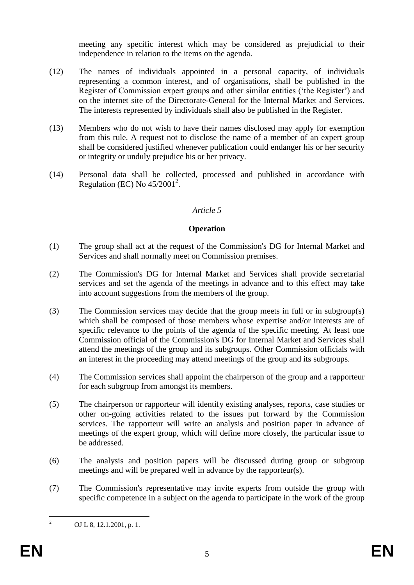meeting any specific interest which may be considered as prejudicial to their independence in relation to the items on the agenda.

- (12) The names of individuals appointed in a personal capacity, of individuals representing a common interest, and of organisations, shall be published in the Register of Commission expert groups and other similar entities ('the Register') and on the internet site of the Directorate-General for the Internal Market and Services. The interests represented by individuals shall also be published in the Register.
- (13) Members who do not wish to have their names disclosed may apply for exemption from this rule. A request not to disclose the name of a member of an expert group shall be considered justified whenever publication could endanger his or her security or integrity or unduly prejudice his or her privacy.
- (14) Personal data shall be collected, processed and published in accordance with Regulation (EC) No  $45/2001^2$ .

## *Article 5*

#### **Operation**

- (1) The group shall act at the request of the Commission's DG for Internal Market and Services and shall normally meet on Commission premises.
- (2) The Commission's DG for Internal Market and Services shall provide secretarial services and set the agenda of the meetings in advance and to this effect may take into account suggestions from the members of the group.
- (3) The Commission services may decide that the group meets in full or in subgroup(s) which shall be composed of those members whose expertise and/or interests are of specific relevance to the points of the agenda of the specific meeting. At least one Commission official of the Commission's DG for Internal Market and Services shall attend the meetings of the group and its subgroups. Other Commission officials with an interest in the proceeding may attend meetings of the group and its subgroups.
- (4) The Commission services shall appoint the chairperson of the group and a rapporteur for each subgroup from amongst its members.
- (5) The chairperson or rapporteur will identify existing analyses, reports, case studies or other on-going activities related to the issues put forward by the Commission services. The rapporteur will write an analysis and position paper in advance of meetings of the expert group, which will define more closely, the particular issue to be addressed.
- (6) The analysis and position papers will be discussed during group or subgroup meetings and will be prepared well in advance by the rapporteur(s).
- (7) The Commission's representative may invite experts from outside the group with specific competence in a subject on the agenda to participate in the work of the group

 $\overline{2}$ 

<sup>2</sup> OJ L 8, 12.1.2001, p. 1.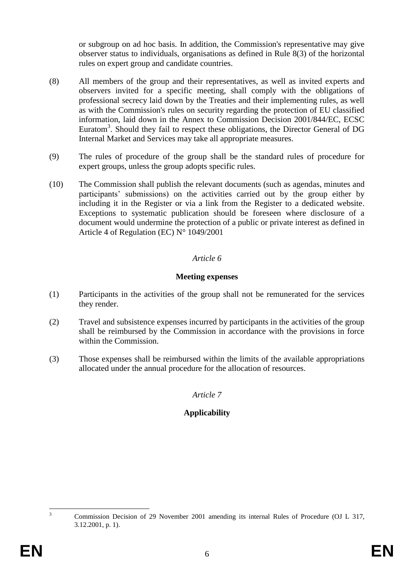or subgroup on ad hoc basis. In addition, the Commission's representative may give observer status to individuals, organisations as defined in Rule 8(3) of the horizontal rules on expert group and candidate countries.

- (8) All members of the group and their representatives, as well as invited experts and observers invited for a specific meeting, shall comply with the obligations of professional secrecy laid down by the Treaties and their implementing rules, as well as with the Commission's rules on security regarding the protection of EU classified information, laid down in the Annex to Commission Decision 2001/844/EC, ECSC Euratom<sup>3</sup>. Should they fail to respect these obligations, the Director General of DG Internal Market and Services may take all appropriate measures.
- (9) The rules of procedure of the group shall be the standard rules of procedure for expert groups, unless the group adopts specific rules.
- (10) The Commission shall publish the relevant documents (such as agendas, minutes and participants' submissions) on the activities carried out by the group either by including it in the Register or via a link from the Register to a dedicated website. Exceptions to systematic publication should be foreseen where disclosure of a document would undermine the protection of a public or private interest as defined in Article 4 of Regulation (EC) N° 1049/2001

## *Article 6*

### **Meeting expenses**

- (1) Participants in the activities of the group shall not be remunerated for the services they render.
- (2) Travel and subsistence expenses incurred by participants in the activities of the group shall be reimbursed by the Commission in accordance with the provisions in force within the Commission.
- (3) Those expenses shall be reimbursed within the limits of the available appropriations allocated under the annual procedure for the allocation of resources.

## *Article 7*

# **Applicability**

 $\overline{a}$ <sup>3</sup> Commission Decision of 29 November 2001 amending its internal Rules of Procedure (OJ L 317, 3.12.2001, p. 1).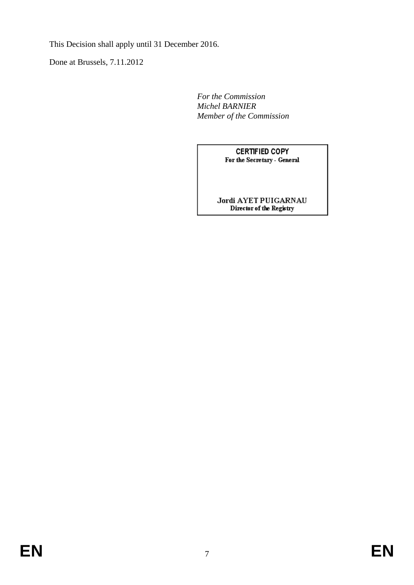This Decision shall apply until 31 December 2016.

Done at Brussels, 7.11.2012

*For the Commission Michel BARNIER Member of the Commission*

> **CERTIFIED COPY** For the Secretary - General

Jordi AYET PUIGARNAU<br>Director of the Registry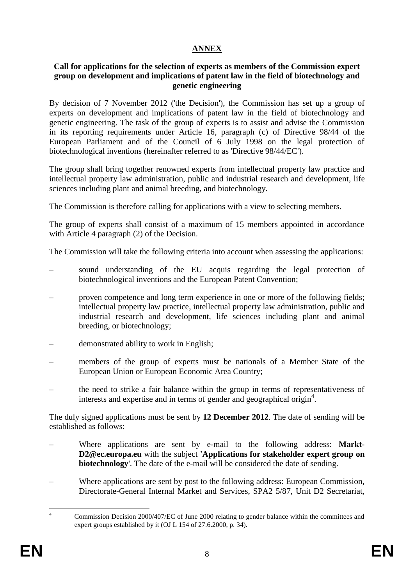# **ANNEX**

#### **Call for applications for the selection of experts as members of the Commission expert group on development and implications of patent law in the field of biotechnology and genetic engineering**

By decision of 7 November 2012 ('the Decision'), the Commission has set up a group of experts on development and implications of patent law in the field of biotechnology and genetic engineering. The task of the group of experts is to assist and advise the Commission in its reporting requirements under Article 16, paragraph (c) of Directive 98/44 of the European Parliament and of the Council of 6 July 1998 on the legal protection of biotechnological inventions (hereinafter referred to as 'Directive 98/44/EC').

The group shall bring together renowned experts from intellectual property law practice and intellectual property law administration, public and industrial research and development, life sciences including plant and animal breeding, and biotechnology.

The Commission is therefore calling for applications with a view to selecting members.

The group of experts shall consist of a maximum of 15 members appointed in accordance with Article 4 paragraph (2) of the Decision.

The Commission will take the following criteria into account when assessing the applications:

- sound understanding of the EU acquis regarding the legal protection of biotechnological inventions and the European Patent Convention;
- proven competence and long term experience in one or more of the following fields; intellectual property law practice, intellectual property law administration, public and industrial research and development, life sciences including plant and animal breeding, or biotechnology;
- demonstrated ability to work in English;
- members of the group of experts must be nationals of a Member State of the European Union or European Economic Area Country;
- the need to strike a fair balance within the group in terms of representativeness of interests and expertise and in terms of gender and geographical origin<sup>4</sup>.

The duly signed applications must be sent by **12 December 2012**. The date of sending will be established as follows:

- Where applications are sent by e-mail to the following address: Markt-**D2@ec.europa.eu** with the subject **'Applications for stakeholder expert group on biotechnology**'. The date of the e-mail will be considered the date of sending.
- Where applications are sent by post to the following address: European Commission, Directorate-General Internal Market and Services, SPA2 5/87, Unit D2 Secretariat,

 $\overline{A}$ <sup>4</sup> Commission Decision 2000/407/EC of June 2000 relating to gender balance within the committees and expert groups established by it (OJ L 154 of 27.6.2000, p. 34).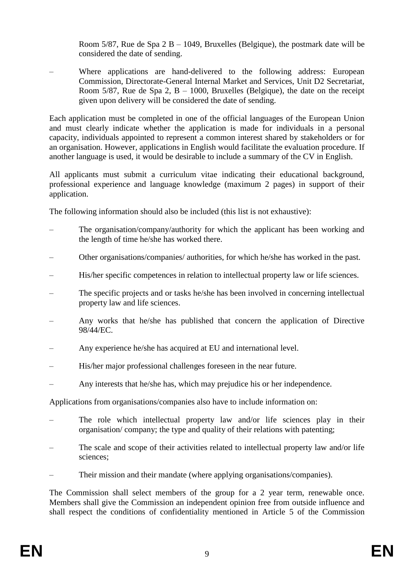Room 5/87, Rue de Spa  $2 B - 1049$ , Bruxelles (Belgique), the postmark date will be considered the date of sending.

– Where applications are hand-delivered to the following address: European Commission, Directorate-General Internal Market and Services, Unit D2 Secretariat, Room  $5/87$ , Rue de Spa 2, B – 1000, Bruxelles (Belgique), the date on the receipt given upon delivery will be considered the date of sending.

Each application must be completed in one of the official languages of the European Union and must clearly indicate whether the application is made for individuals in a personal capacity, individuals appointed to represent a common interest shared by stakeholders or for an organisation. However, applications in English would facilitate the evaluation procedure. If another language is used, it would be desirable to include a summary of the CV in English.

All applicants must submit a curriculum vitae indicating their educational background, professional experience and language knowledge (maximum 2 pages) in support of their application.

The following information should also be included (this list is not exhaustive):

- The organisation/company/authority for which the applicant has been working and the length of time he/she has worked there.
- Other organisations/companies/ authorities, for which he/she has worked in the past.
- His/her specific competences in relation to intellectual property law or life sciences.
- The specific projects and or tasks he/she has been involved in concerning intellectual property law and life sciences.
- Any works that he/she has published that concern the application of Directive 98/44/EC.
- Any experience he/she has acquired at EU and international level.
- His/her major professional challenges foreseen in the near future.
- Any interests that he/she has, which may prejudice his or her independence.

Applications from organisations/companies also have to include information on:

- The role which intellectual property law and/or life sciences play in their organisation/ company; the type and quality of their relations with patenting;
- The scale and scope of their activities related to intellectual property law and/or life sciences;
- Their mission and their mandate (where applying organisations/companies).

The Commission shall select members of the group for a 2 year term, renewable once. Members shall give the Commission an independent opinion free from outside influence and shall respect the conditions of confidentiality mentioned in Article 5 of the Commission